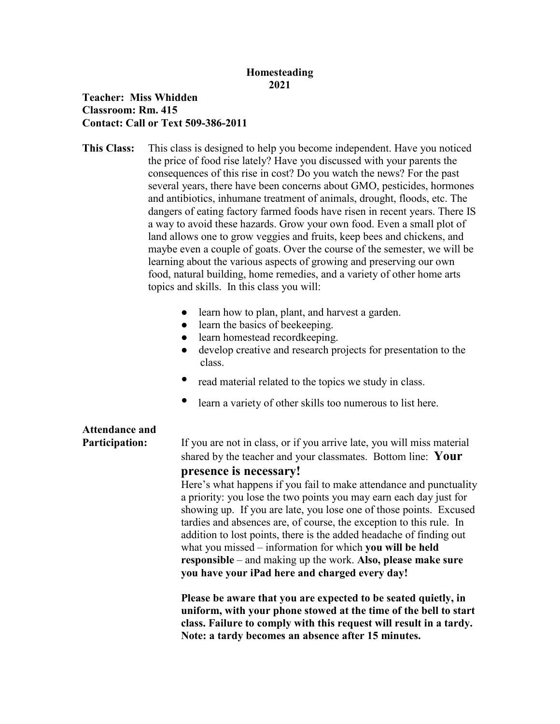## **Homesteading 2021**

## **Teacher: Miss Whidden Classroom: Rm. 415 Contact: Call or Text 509-386-2011**

**This Class:** This class is designed to help you become independent. Have you noticed the price of food rise lately? Have you discussed with your parents the consequences of this rise in cost? Do you watch the news? For the past several years, there have been concerns about GMO, pesticides, hormones and antibiotics, inhumane treatment of animals, drought, floods, etc. The dangers of eating factory farmed foods have risen in recent years. There IS a way to avoid these hazards. Grow your own food. Even a small plot of land allows one to grow veggies and fruits, keep bees and chickens, and maybe even a couple of goats. Over the course of the semester, we will be learning about the various aspects of growing and preserving our own food, natural building, home remedies, and a variety of other home arts topics and skills. In this class you will:

- learn how to plan, plant, and harvest a garden.
- learn the basics of beekeeping.
- learn homestead recordkeeping.
- develop creative and research projects for presentation to the class.
- read material related to the topics we study in class.
- learn a variety of other skills too numerous to list here.

## **Attendance and**

**Participation:** If you are not in class, or if you arrive late, you will miss material shared by the teacher and your classmates. Bottom line: **Your presence is necessary!**

> Here's what happens if you fail to make attendance and punctuality a priority: you lose the two points you may earn each day just for showing up. If you are late, you lose one of those points. Excused tardies and absences are, of course, the exception to this rule. In addition to lost points, there is the added headache of finding out what you missed – information for which **you will be held responsible** – and making up the work. **Also, please make sure you have your iPad here and charged every day!**

> **Please be aware that you are expected to be seated quietly, in uniform, with your phone stowed at the time of the bell to start class. Failure to comply with this request will result in a tardy. Note: a tardy becomes an absence after 15 minutes.**